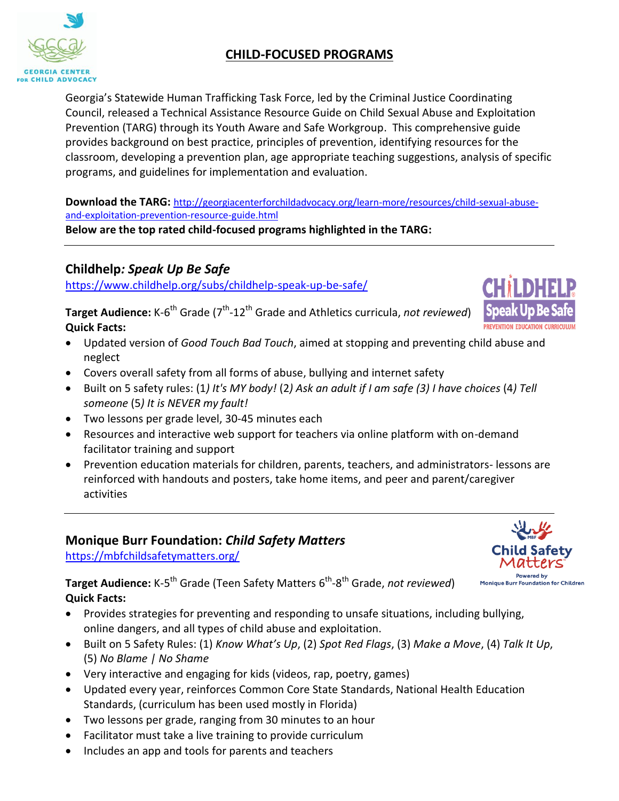# **CHILD-FOCUSED PROGRAMS**

Georgia's Statewide Human Trafficking Task Force, led by the Criminal Justice Coordinating Council, released a Technical Assistance Resource Guide on Child Sexual Abuse and Exploitation Prevention (TARG) through its Youth Aware and Safe Workgroup. This comprehensive guide provides background on best practice, principles of prevention, identifying resources for the classroom, developing a prevention plan, age appropriate teaching suggestions, analysis of specific programs, and guidelines for implementation and evaluation.

**Download the TARG:** [http://georgiacenterforchildadvocacy.org/learn-more/resources/child-sexual-abuse](http://georgiacenterforchildadvocacy.org/learn-more/resources/child-sexual-abuse-and-exploitation-prevention-resource-guide.html)[and-exploitation-prevention-resource-guide.html](http://georgiacenterforchildadvocacy.org/learn-more/resources/child-sexual-abuse-and-exploitation-prevention-resource-guide.html) **Below are the top rated child-focused programs highlighted in the TARG:** 

**Childhelp***: Speak Up Be Safe*

<https://www.childhelp.org/subs/childhelp-speak-up-be-safe/>

**Target Audience:** K-6<sup>th</sup> Grade (7<sup>th</sup>-12<sup>th</sup> Grade and Athletics curricula, not reviewed) **Quick Facts:**

- Updated version of *Good Touch Bad Touch*, aimed at stopping and preventing child abuse and neglect
- Covers overall safety from all forms of abuse, bullying and internet safety
- Built on 5 safety rules: (1*) It's MY body!* (2*) Ask an adult if I am safe (3) I have choices* (4*) Tell someone* (5*) It is NEVER my fault!*
- Two lessons per grade level, 30-45 minutes each
- Resources and interactive web support for teachers via online platform with on-demand facilitator training and support
- Prevention education materials for children, parents, teachers, and administrators- lessons are reinforced with handouts and posters, take home items, and peer and parent/caregiver activities

# **Monique Burr Foundation:** *Child Safety Matters*

<https://mbfchildsafetymatters.org/>

**Target Audience:** K-5<sup>th</sup> Grade (Teen Safety Matters 6<sup>th</sup>-8<sup>th</sup> Grade, not reviewed) **Quick Facts:** 

- Provides strategies for preventing and responding to unsafe situations, including bullying, online dangers, and all types of child abuse and exploitation.
- Built on 5 Safety Rules: (1) *Know What's Up*, (2) *Spot Red Flags*, (3) *Make a Move*, (4) *Talk It Up*, (5) *No Blame | No Shame*
- Very interactive and engaging for kids (videos, rap, poetry, games)
- Updated every year, reinforces Common Core State Standards, National Health Education Standards, (curriculum has been used mostly in Florida)
- Two lessons per grade, ranging from 30 minutes to an hour
- Facilitator must take a live training to provide curriculum
- Includes an app and tools for parents and teachers





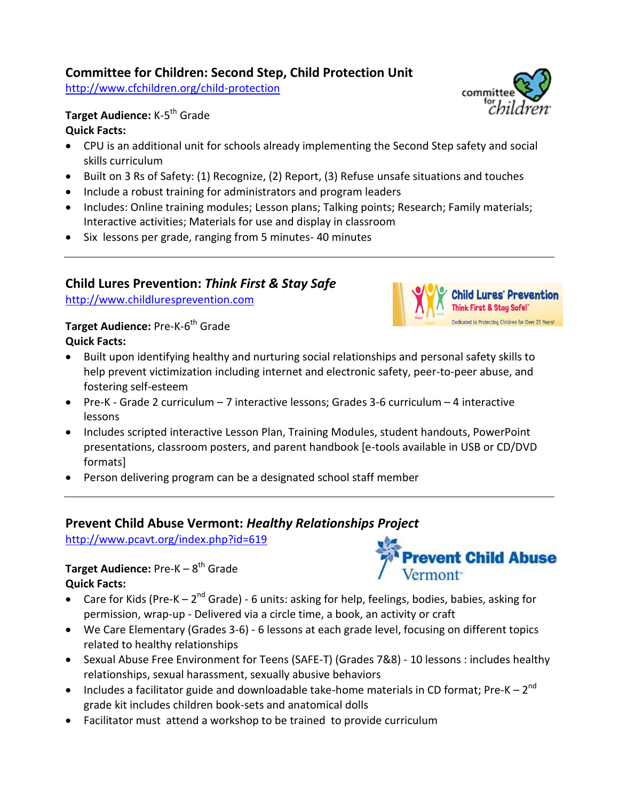# **Committee for Children: Second Step, Child Protection Unit**

<http://www.cfchildren.org/child-protection>

# **Target Audience:** K-5 th Grade **Quick Facts:**

- CPU is an additional unit for schools already implementing the Second Step safety and social skills curriculum
- Built on 3 Rs of Safety: (1) Recognize, (2) Report, (3) Refuse unsafe situations and touches
- Include a robust training for administrators and program leaders
- Includes: Online training modules; Lesson plans; Talking points; Research; Family materials; Interactive activities; Materials for use and display in classroom
- Six lessons per grade, ranging from 5 minutes-40 minutes

# **Child Lures Prevention:** *Think First & Stay Safe*

[http://www.childluresprevention.com](http://www.childluresprevention.com/)

#### **Target Audience:** Pre-K-6 th Grade **Quick Facts:**

- Built upon identifying healthy and nurturing social relationships and personal safety skills to help prevent victimization including internet and electronic safety, peer-to-peer abuse, and fostering self-esteem
- Pre-K Grade 2 curriculum 7 interactive lessons; Grades 3-6 curriculum 4 interactive lessons
- Includes scripted interactive Lesson Plan, Training Modules, student handouts, PowerPoint presentations, classroom posters, and parent handbook [e-tools available in USB or CD/DVD formats]
- Person delivering program can be a designated school staff member

# **Prevent Child Abuse Vermont:** *Healthy Relationships Project*

<http://www.pcavt.org/index.php?id=619>

#### **Target Audience:** Pre-K – 8<sup>th</sup> Grade **Quick Facts:**

- Care for Kids (Pre-K  $2^{nd}$  Grade) 6 units: asking for help, feelings, bodies, babies, asking for permission, wrap-up - Delivered via a circle time, a book, an activity or craft
- We Care Elementary (Grades 3-6) 6 lessons at each grade level, focusing on different topics related to healthy relationships
- Sexual Abuse Free Environment for Teens (SAFE-T) (Grades 7&8) 10 lessons : includes healthy relationships, sexual harassment, sexually abusive behaviors
- Includes a facilitator guide and downloadable take-home materials in CD format; Pre-K  $2^{nd}$ grade kit includes children book-sets and anatomical dolls
- Facilitator must attend a workshop to be trained to provide curriculum